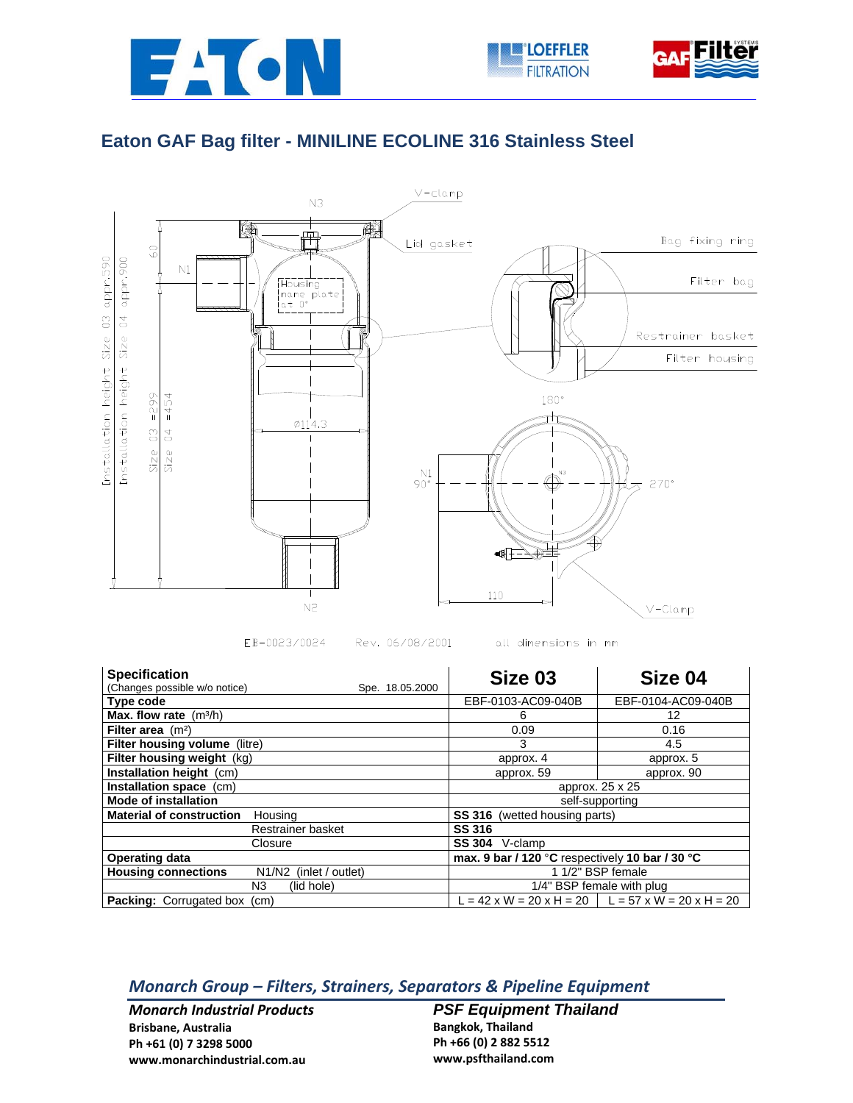



## **Eaton GAF Bag filter - MINILINE ECOLINE 316 Stainless Steel**



EB-0023/0024 Rev. 06/08/2001 all dimensions in mm

| <b>Specification</b>                                    | Size 03                                                                     | Size 04            |
|---------------------------------------------------------|-----------------------------------------------------------------------------|--------------------|
| (Changes possible w/o notice)<br>Spe. 18.05.2000        |                                                                             |                    |
| Type code                                               | EBF-0103-AC09-040B                                                          | EBF-0104-AC09-040B |
| Max. flow rate $(m^3/h)$                                | 6                                                                           | 12                 |
| Filter area $(m2)$                                      | 0.09                                                                        | 0.16               |
| Filter housing volume (litre)                           | 3                                                                           | 4.5                |
| Filter housing weight (kg)                              | approx. 4                                                                   | approx. 5          |
| <b>Installation height (cm)</b>                         | approx. 59                                                                  | approx. 90         |
| Installation space (cm)                                 | approx. 25 x 25                                                             |                    |
| <b>Mode of installation</b>                             | self-supporting                                                             |                    |
| <b>Material of construction</b><br>Housing              | <b>SS 316</b><br>(wetted housing parts)                                     |                    |
| Restrainer basket                                       | <b>SS 316</b>                                                               |                    |
| Closure                                                 | <b>SS 304</b><br>V-clamp                                                    |                    |
| <b>Operating data</b>                                   | max. 9 bar / 120 °C respectively 10 bar / 30 °C                             |                    |
| <b>Housing connections</b><br>(inlet / outlet)<br>N1/N2 | 1 1/2" BSP female                                                           |                    |
| N3.<br>(lid hole)                                       | 1/4" BSP female with plug                                                   |                    |
| <b>Packing: Corrugated box</b><br>(cm)                  | $L = 42 \times W = 20 \times H = 20$   $L = 57 \times W = 20 \times H = 20$ |                    |

## *Monarch Group – Filters, Strainers, Separators & Pipeline Equipment*

*Monarch Industrial Products* **Brisbane, Australia Ph +61 (0) 7 3298 5000 www.monarchindustrial.com.au**

*PSF Equipment Thailand*  **Bangkok, Thailand Ph +66 (0) 2 882 5512 www.psfthailand.com**